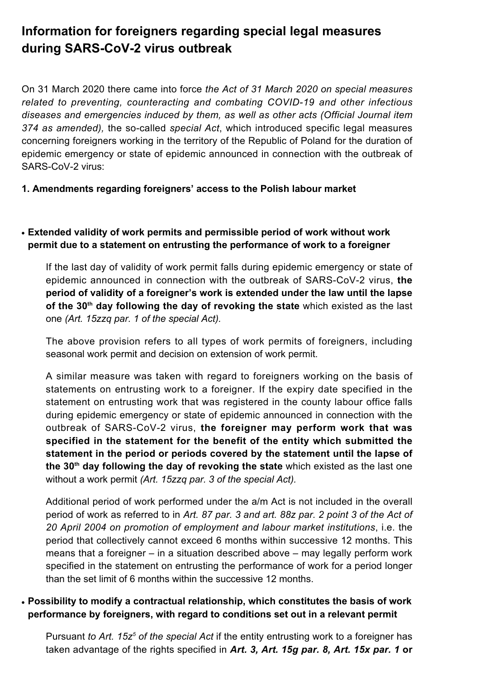# **Information for foreigners regarding special legal measures during SARS-CoV-2 virus outbreak**

On 31 March 2020 there came into force *the Act of 31 March 2020 on special measures related to preventing, counteracting and combating COVID-19 and other infectious diseases and emergencies induced by them, as well as other acts (Official Journal item 374 as amended),* the so-called *special Act*, which introduced specific legal measures concerning foreigners working in the territory of the Republic of Poland for the duration of epidemic emergency or state of epidemic announced in connection with the outbreak of SARS-CoV-2 virus:

## **1. Amendments regarding foreigners' access to the Polish labour market**

# ● **Extended validity of work permits and permissible period of work without work permit due to a statement on entrusting the performance of work to a foreigner**

If the last day of validity of work permit falls during epidemic emergency or state of epidemic announced in connection with the outbreak of SARS-CoV-2 virus, **the period of validity of a foreigner's work is extended under the law until the lapse of the 30th day following the day of revoking the state** which existed as the last one *(Art. 15zzq par. 1 of the special Act).*

The above provision refers to all types of work permits of foreigners, including seasonal work permit and decision on extension of work permit.

A similar measure was taken with regard to foreigners working on the basis of statements on entrusting work to a foreigner. If the expiry date specified in the statement on entrusting work that was registered in the county labour office falls during epidemic emergency or state of epidemic announced in connection with the outbreak of SARS-CoV-2 virus, **the foreigner may perform work that was specified in the statement for the benefit of the entity which submitted the statement in the period or periods covered by the statement until the lapse of the 30th day following the day of revoking the state** which existed as the last one without a work permit *(Art. 15zzq par. 3 of the special Act).*

Additional period of work performed under the a/m Act is not included in the overall period of work as referred to in *Art. 87 par. 3 and art. 88z par. 2 point 3 of the Act of 20 April 2004 on promotion of employment and labour market institutions*, i.e. the period that collectively cannot exceed 6 months within successive 12 months. This means that a foreigner – in a situation described above – may legally perform work specified in the statement on entrusting the performance of work for a period longer than the set limit of 6 months within the successive 12 months.

# ● **Possibility to modify a contractual relationship, which constitutes the basis of work performance by foreigners, with regard to conditions set out in a relevant permit**

Pursuant *to Art. 15z<sup>5</sup> of the special Act* if the entity entrusting work to a foreigner has taken advantage of the rights specified in *Art. 3, Art. 15g par. 8, Art. 15x par. 1* **or**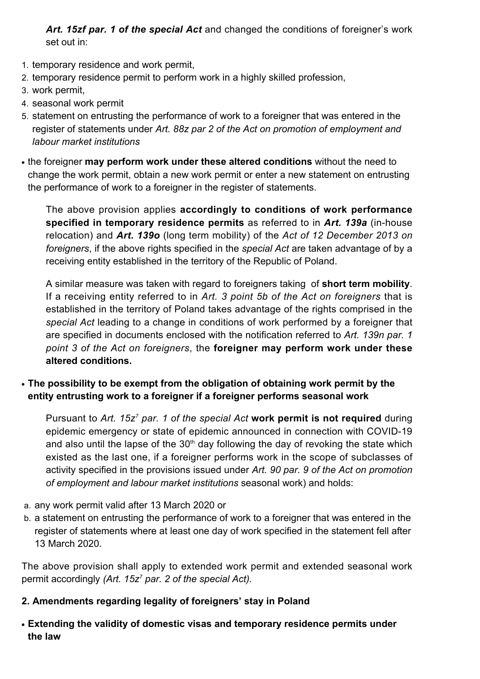*Art. 15zf par. 1 of the special Act* and changed the conditions of foreigner's work set out in:

- 1. temporary residence and work permit,
- 2. temporary residence permit to perform work in a highly skilled profession,
- 3. work permit,
- 4. seasonal work permit
- 5. statement on entrusting the performance of work to a foreigner that was entered in the register of statements under *Art. 88z par 2 of the Act on promotion of employment and labour market institutions*
- the foreigner **may perform work under these altered conditions** without the need to change the work permit, obtain a new work permit or enter a new statement on entrusting the performance of work to a foreigner in the register of statements.

The above provision applies **accordingly to conditions of work performance specified in temporary residence permits** as referred to in *Art. 139a* (in-house relocation) and *Art. 139o* (long term mobility) of the *Act of 12 December 2013 on foreigners*, if the above rights specified in the *special Act* are taken advantage of by a receiving entity established in the territory of the Republic of Poland.

A similar measure was taken with regard to foreigners taking of **short term mobility**. If a receiving entity referred to in *Art. 3 point 5b of the Act on foreigners* that is established in the territory of Poland takes advantage of the rights comprised in the *special Act* leading to a change in conditions of work performed by a foreigner that are specified in documents enclosed with the notification referred to *Art. 139n par. 1 point 3 of the Act on foreigners*, the **foreigner may perform work under these altered conditions.**

• The possibility to be exempt from the obligation of obtaining work permit by the **entity entrusting work to a foreigner if a foreigner performs seasonal work**

Pursuant to Art. 15z<sup>7</sup> par. 1 of the special Act work permit is not required during epidemic emergency or state of epidemic announced in connection with COVID-19 and also until the lapse of the  $30<sup>th</sup>$  day following the day of revoking the state which existed as the last one, if a foreigner performs work in the scope of subclasses of activity specified in the provisions issued under *Art. 90 par. 9 of the Act on promotion of employment and labour market institutions* seasonal work) and holds:

- a. any work permit valid after 13 March 2020 or
- b. a statement on entrusting the performance of work to a foreigner that was entered in the register of statements where at least one day of work specified in the statement fell after 13 March 2020.

The above provision shall apply to extended work permit and extended seasonal work permit accordingly *(Art. 15z<sup>7</sup> par. 2 of the special Act).*

# **2. Amendments regarding legality of foreigners' stay in Poland**

● **Extending the validity of domestic visas and temporary residence permits under the law**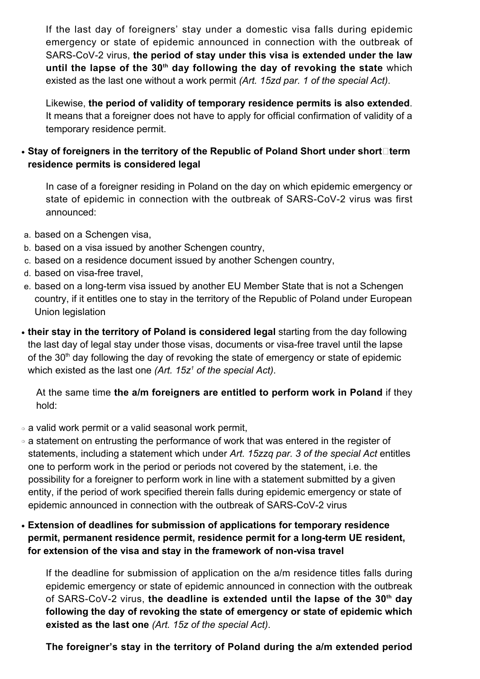If the last day of foreigners' stay under a domestic visa falls during epidemic emergency or state of epidemic announced in connection with the outbreak of SARS-CoV-2 virus, **the period of stay under this visa is extended under the law until the lapse of the 30th day following the day of revoking the state** which existed as the last one without a work permit *(Art. 15zd par. 1 of the special Act)*.

Likewise, **the period of validity of temporary residence permits is also extended**. It means that a foreigner does not have to apply for official confirmation of validity of a temporary residence permit.

# • Stay of foreigners in the territory of the Republic of Poland Short under short□term **residence permits is considered legal**

In case of a foreigner residing in Poland on the day on which epidemic emergency or state of epidemic in connection with the outbreak of SARS-CoV-2 virus was first announced:

- a. based on a Schengen visa,
- b. based on a visa issued by another Schengen country,
- c. based on a residence document issued by another Schengen country,
- d. based on visa-free travel,
- e. based on a long-term visa issued by another EU Member State that is not a Schengen country, if it entitles one to stay in the territory of the Republic of Poland under European Union legislation
- their stay in the territory of Poland is considered legal starting from the day following the last day of legal stay under those visas, documents or visa-free travel until the lapse of the  $30<sup>th</sup>$  day following the day of revoking the state of emergency or state of epidemic which existed as the last one *(Art. 15z<sup>1</sup> of the special Act)*.

At the same time **the a/m foreigners are entitled to perform work in Poland** if they hold:

- ❍ a valid work permit or a valid seasonal work permit,
- ❍ a statement on entrusting the performance of work that was entered in the register of statements, including a statement which under *Art. 15zzq par. 3 of the special Act* entitles one to perform work in the period or periods not covered by the statement, i.e. the possibility for a foreigner to perform work in line with a statement submitted by a given entity, if the period of work specified therein falls during epidemic emergency or state of epidemic announced in connection with the outbreak of SARS-CoV-2 virus
- **Extension of deadlines for submission of applications for temporary residence permit, permanent residence permit, residence permit for a long-term UE resident, for extension of the visa and stay in the framework of non-visa travel**

If the deadline for submission of application on the a/m residence titles falls during epidemic emergency or state of epidemic announced in connection with the outbreak of SARS-CoV-2 virus, **the deadline is extended until the lapse of the 30th day following the day of revoking the state of emergency or state of epidemic which existed as the last one** *(Art. 15z of the special Act)*.

**The foreigner's stay in the territory of Poland during the a/m extended period**